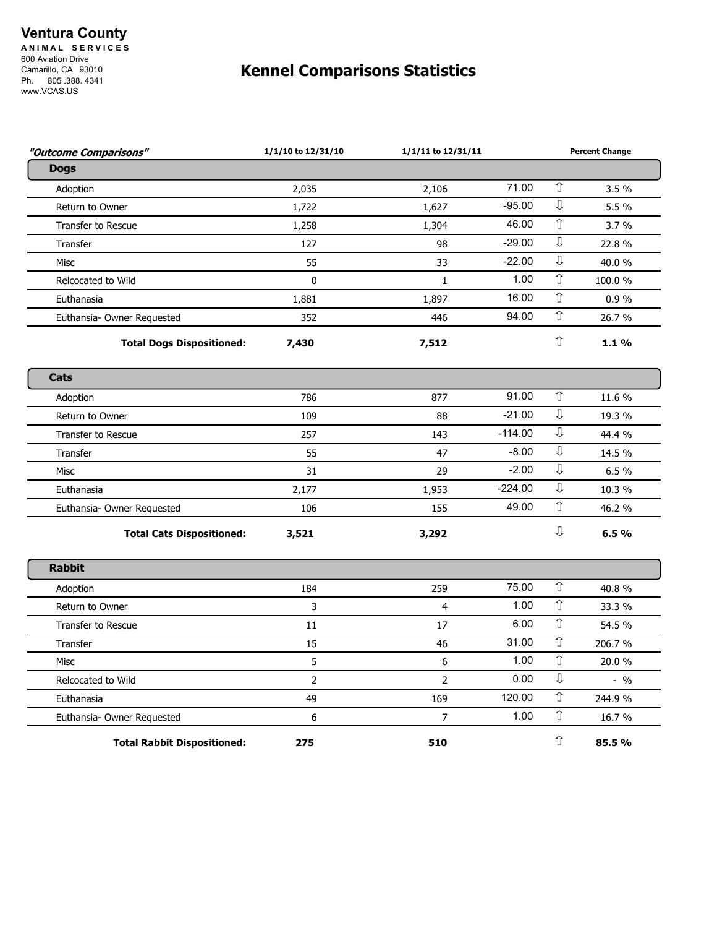## **Ventura County**

**A N I M A L S E R V I C E S**  600 Aviation Drive Camarillo, CA 93010 Ph. 805 .388. 4341 www.VCAS.US

## **Kennel Comparisons Statistics**

| "Outcome Comparisons"              | 1/1/10 to 12/31/10 | 1/1/11 to 12/31/11 |           | <b>Percent Change</b>   |         |
|------------------------------------|--------------------|--------------------|-----------|-------------------------|---------|
| <b>Dogs</b>                        |                    |                    |           |                         |         |
| Adoption                           | 2,035              | 2,106              | 71.00     | 介                       | 3.5%    |
| Return to Owner                    | 1,722              | 1,627              | $-95.00$  | $\overline{\mathbb{J}}$ | 5.5 %   |
| <b>Transfer to Rescue</b>          | 1,258              | 1,304              | 46.00     | ⇧                       | 3.7 %   |
| <b>Transfer</b>                    | 127                | 98                 | $-29.00$  | $\overline{\mathbb{J}}$ | 22.8%   |
| Misc                               | 55                 | 33                 | $-22.00$  | ⇩                       | 40.0%   |
| Relcocated to Wild                 | $\mathbf{0}$       | $\mathbf{1}$       | 1.00      | $\hat{\mathbb{U}}$      | 100.0%  |
| Euthanasia                         | 1,881              | 1,897              | 16.00     | ⇧                       | 0.9%    |
| Euthansia- Owner Requested         | 352                | 446                | 94.00     | ⇧                       | 26.7 %  |
| <b>Total Dogs Dispositioned:</b>   | 7,430              | 7,512              |           | ⇧                       | 1.1%    |
| Cats                               |                    |                    |           |                         |         |
| Adoption                           | 786                | 877                | 91.00     | $\hat{\mathbb{U}}$      | 11.6 %  |
| Return to Owner                    | 109                | 88                 | $-21.00$  | $\overline{\mathbb{J}}$ | 19.3 %  |
| Transfer to Rescue                 | 257                | 143                | $-114.00$ | $\overline{\mathbb{Q}}$ | 44.4 %  |
| Transfer                           | 55                 | 47                 | $-8.00$   | ⇩                       | 14.5 %  |
| <b>Misc</b>                        | 31                 | 29                 | $-2.00$   | $\mathbb{J}$            | 6.5%    |
| Euthanasia                         | 2,177              | 1,953              | $-224.00$ | ⇩                       | 10.3 %  |
| Euthansia- Owner Requested         | 106                | 155                | 49.00     | $\hat{\mathbb{I}}$      | 46.2 %  |
| <b>Total Cats Dispositioned:</b>   | 3,521              | 3,292              |           | ⇩                       | 6.5%    |
| <b>Rabbit</b>                      |                    |                    |           |                         |         |
| Adoption                           | 184                | 259                | 75.00     | $\hat{\mathbb{U}}$      | 40.8%   |
| Return to Owner                    | 3                  | $\overline{4}$     | 1.00      | ⇧                       | 33.3 %  |
| <b>Transfer to Rescue</b>          | 11                 | 17                 | 6.00      | $\hat{\mathbb{I}}$      | 54.5 %  |
| Transfer                           | 15                 | 46                 | 31.00     | $\hat{\mathbb{I}}$      | 206.7%  |
| <b>Misc</b>                        | 5                  | 6                  | 1.00      | $\hat{\mathbb{U}}$      | 20.0%   |
| Relcocated to Wild                 | $\overline{2}$     | $\overline{2}$     | 0.00      | ⇩                       | $-9/0$  |
| Euthanasia                         | 49                 | 169                | 120.00    | ⇧                       | 244.9 % |
| Euthansia- Owner Requested         | 6                  | 7                  | 1.00      | ⇧                       | 16.7 %  |
| <b>Total Rabbit Dispositioned:</b> | 275                | 510                |           | ⇧                       | 85.5%   |
|                                    |                    |                    |           |                         |         |